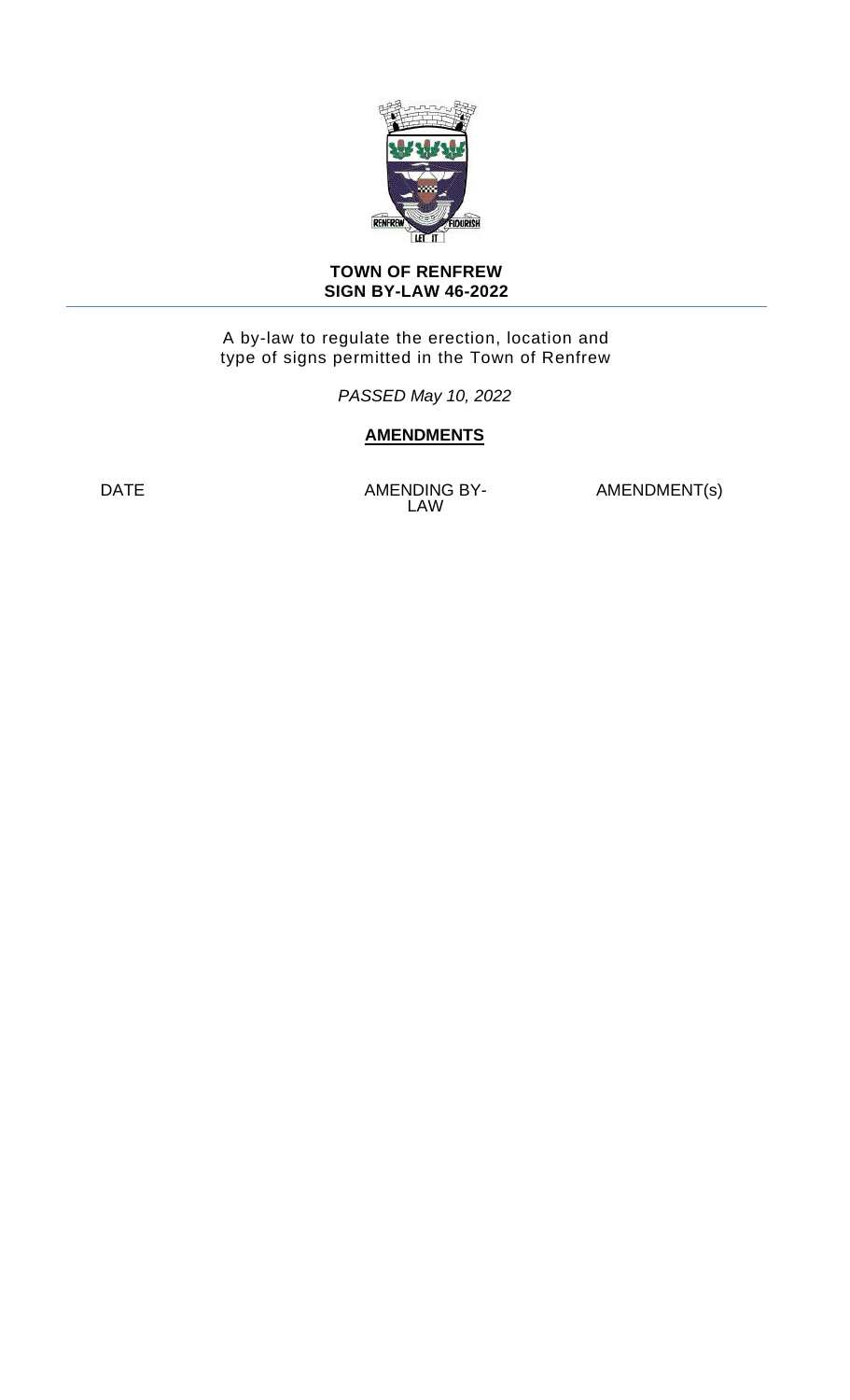

#### **TOWN OF RENFREW SIGN BY-LAW 46-2022**

A by-law to regulate the erection, location and type of signs permitted in the Town of Renfrew

*PASSED May 10, 2022*

# **AMENDMENTS**

DATE AMENDING BY-LAW

AMENDMENT(s)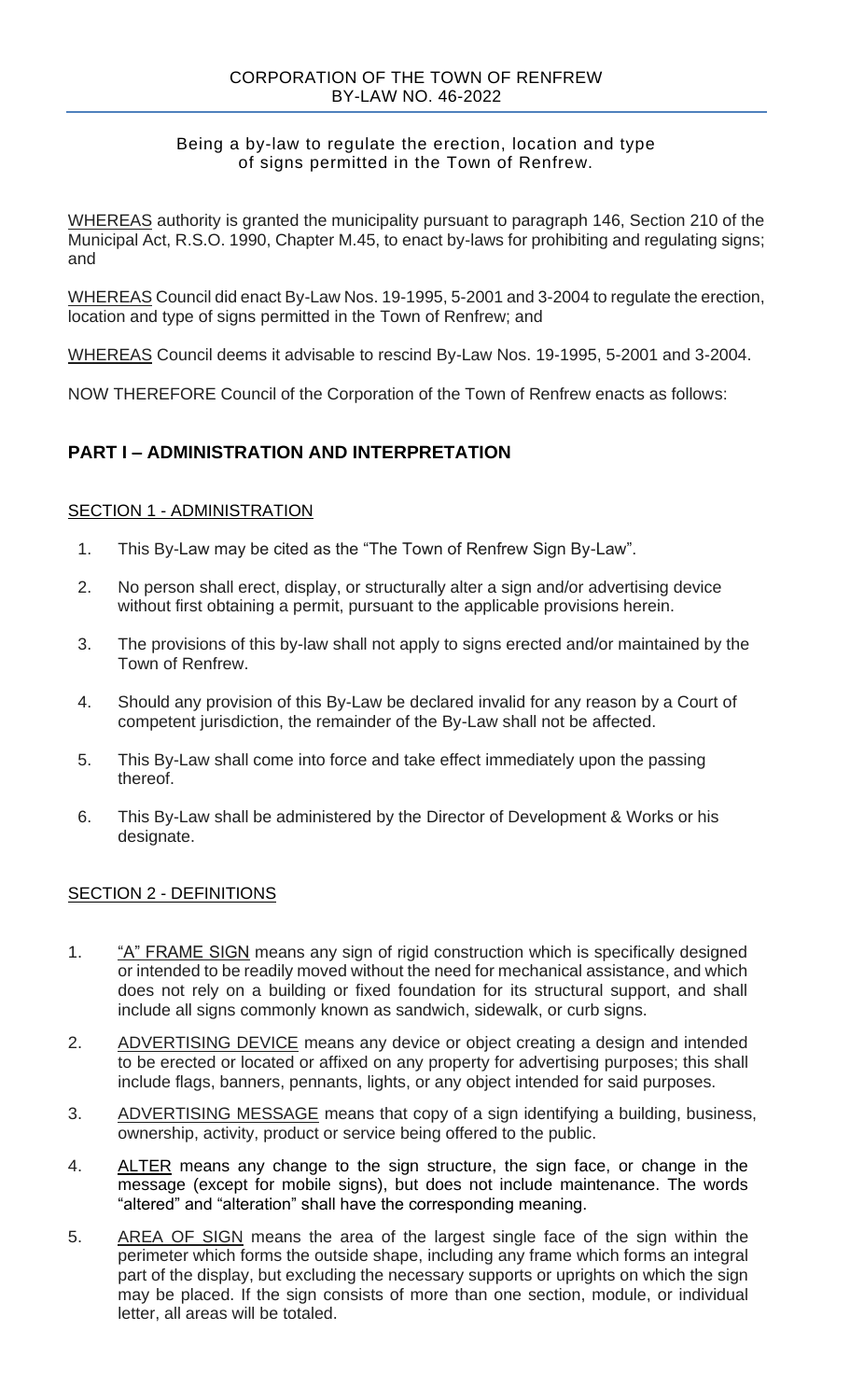#### Being a by-law to regulate the erection, location and type of signs permitted in the Town of Renfrew.

WHEREAS authority is granted the municipality pursuant to paragraph 146, Section 210 of the Municipal Act, R.S.O. 1990, Chapter M.45, to enact by-laws for prohibiting and regulating signs; and

WHEREAS Council did enact By-Law Nos. 19-1995, 5-2001 and 3-2004 to regulate the erection, location and type of signs permitted in the Town of Renfrew; and

WHEREAS Council deems it advisable to rescind By-Law Nos. 19-1995, 5-2001 and 3-2004.

NOW THEREFORE Council of the Corporation of the Town of Renfrew enacts as follows:

# **PART I – ADMINISTRATION AND INTERPRETATION**

## **SECTION 1 - ADMINISTRATION**

- 1. This By-Law may be cited as the "The Town of Renfrew Sign By-Law".
- 2. No person shall erect, display, or structurally alter a sign and/or advertising device without first obtaining a permit, pursuant to the applicable provisions herein.
- 3. The provisions of this by-law shall not apply to signs erected and/or maintained by the Town of Renfrew.
- 4. Should any provision of this By-Law be declared invalid for any reason by a Court of competent jurisdiction, the remainder of the By-Law shall not be affected.
- 5. This By-Law shall come into force and take effect immediately upon the passing thereof.
- 6. This By-Law shall be administered by the Director of Development & Works or his designate.

## SECTION 2 - DEFINITIONS

- 1. "A" FRAME SIGN means any sign of rigid construction which is specifically designed or intended to be readily moved without the need for mechanical assistance, and which does not rely on a building or fixed foundation for its structural support, and shall include all signs commonly known as sandwich, sidewalk, or curb signs.
- 2. ADVERTISING DEVICE means any device or object creating a design and intended to be erected or located or affixed on any property for advertising purposes; this shall include flags, banners, pennants, lights, or any object intended for said purposes.
- 3. ADVERTISING MESSAGE means that copy of a sign identifying a building, business, ownership, activity, product or service being offered to the public.
- 4. ALTER means any change to the sign structure, the sign face, or change in the message (except for mobile signs), but does not include maintenance. The words "altered" and "alteration" shall have the corresponding meaning.
- 5. AREA OF SIGN means the area of the largest single face of the sign within the perimeter which forms the outside shape, including any frame which forms an integral part of the display, but excluding the necessary supports or uprights on which the sign may be placed. If the sign consists of more than one section, module, or individual letter, all areas will be totaled.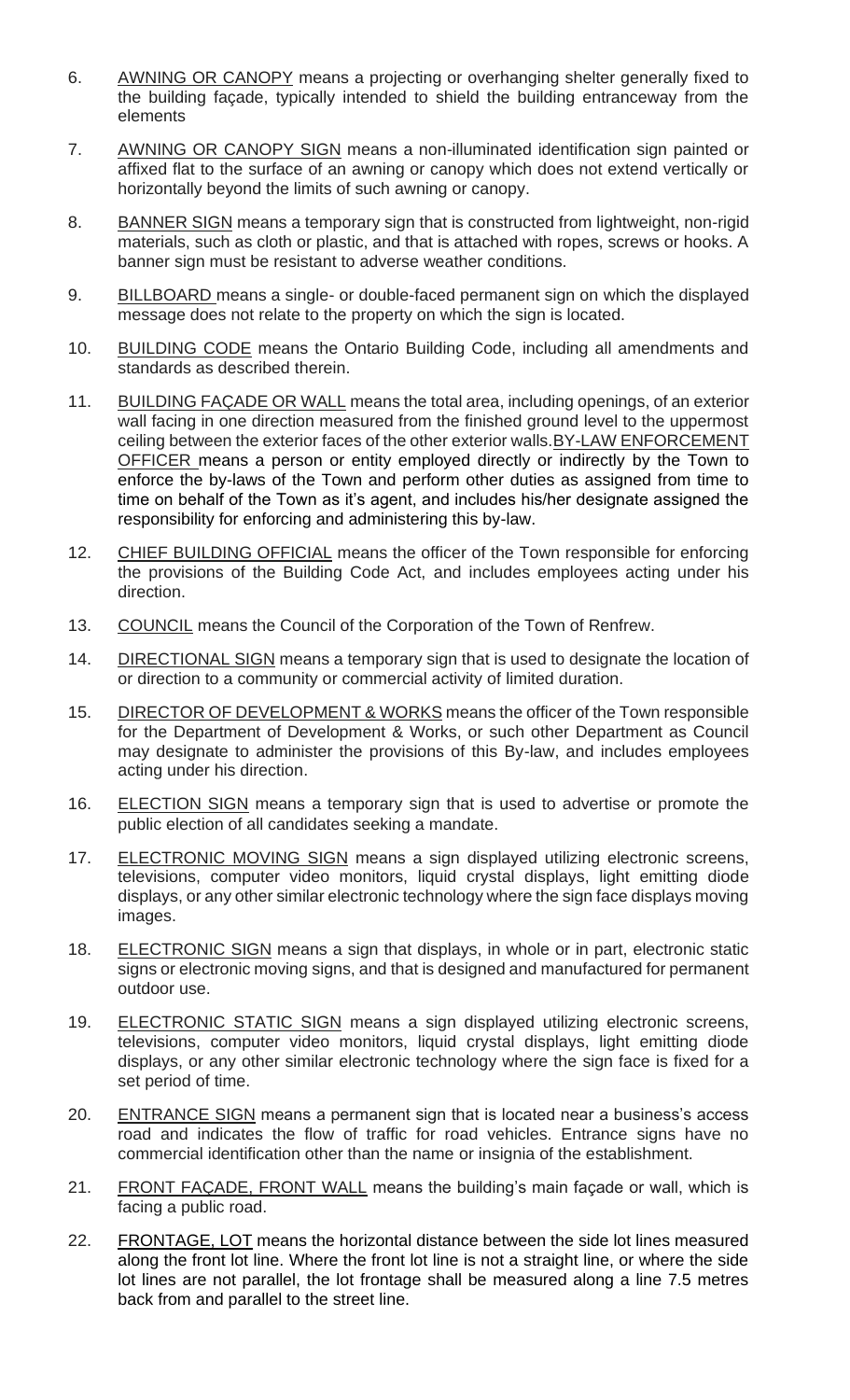- 6. AWNING OR CANOPY means a projecting or overhanging shelter generally fixed to the building façade, typically intended to shield the building entranceway from the elements
- 7. AWNING OR CANOPY SIGN means a non-illuminated identification sign painted or affixed flat to the surface of an awning or canopy which does not extend vertically or horizontally beyond the limits of such awning or canopy.
- 8. BANNER SIGN means a temporary sign that is constructed from lightweight, non-rigid materials, such as cloth or plastic, and that is attached with ropes, screws or hooks. A banner sign must be resistant to adverse weather conditions.
- 9. BILLBOARD means a single- or double-faced permanent sign on which the displayed message does not relate to the property on which the sign is located.
- 10. BUILDING CODE means the Ontario Building Code, including all amendments and standards as described therein.
- 11. BUILDING FAÇADE OR WALL means the total area, including openings, of an exterior wall facing in one direction measured from the finished ground level to the uppermost ceiling between the exterior faces of the other exterior walls.BY-LAW ENFORCEMENT OFFICER means a person or entity employed directly or indirectly by the Town to enforce the by-laws of the Town and perform other duties as assigned from time to time on behalf of the Town as it's agent, and includes his/her designate assigned the responsibility for enforcing and administering this by-law.
- 12. CHIEF BUILDING OFFICIAL means the officer of the Town responsible for enforcing the provisions of the Building Code Act, and includes employees acting under his direction.
- 13. COUNCIL means the Council of the Corporation of the Town of Renfrew.
- 14. DIRECTIONAL SIGN means a temporary sign that is used to designate the location of or direction to a community or commercial activity of limited duration.
- 15. DIRECTOR OF DEVELOPMENT & WORKS means the officer of the Town responsible for the Department of Development & Works, or such other Department as Council may designate to administer the provisions of this By-law, and includes employees acting under his direction.
- 16. ELECTION SIGN means a temporary sign that is used to advertise or promote the public election of all candidates seeking a mandate.
- 17. ELECTRONIC MOVING SIGN means a sign displayed utilizing electronic screens, televisions, computer video monitors, liquid crystal displays, light emitting diode displays, or any other similar electronic technology where the sign face displays moving images.
- 18. ELECTRONIC SIGN means a sign that displays, in whole or in part, electronic static signs or electronic moving signs, and that is designed and manufactured for permanent outdoor use.
- 19. ELECTRONIC STATIC SIGN means a sign displayed utilizing electronic screens, televisions, computer video monitors, liquid crystal displays, light emitting diode displays, or any other similar electronic technology where the sign face is fixed for a set period of time.
- 20. ENTRANCE SIGN means a permanent sign that is located near a business's access road and indicates the flow of traffic for road vehicles. Entrance signs have no commercial identification other than the name or insignia of the establishment.
- 21. FRONT FACADE, FRONT WALL means the building's main façade or wall, which is facing a public road.
- 22. FRONTAGE, LOT means the horizontal distance between the side lot lines measured along the front lot line. Where the front lot line is not a straight line, or where the side lot lines are not parallel, the lot frontage shall be measured along a line 7.5 metres back from and parallel to the street line.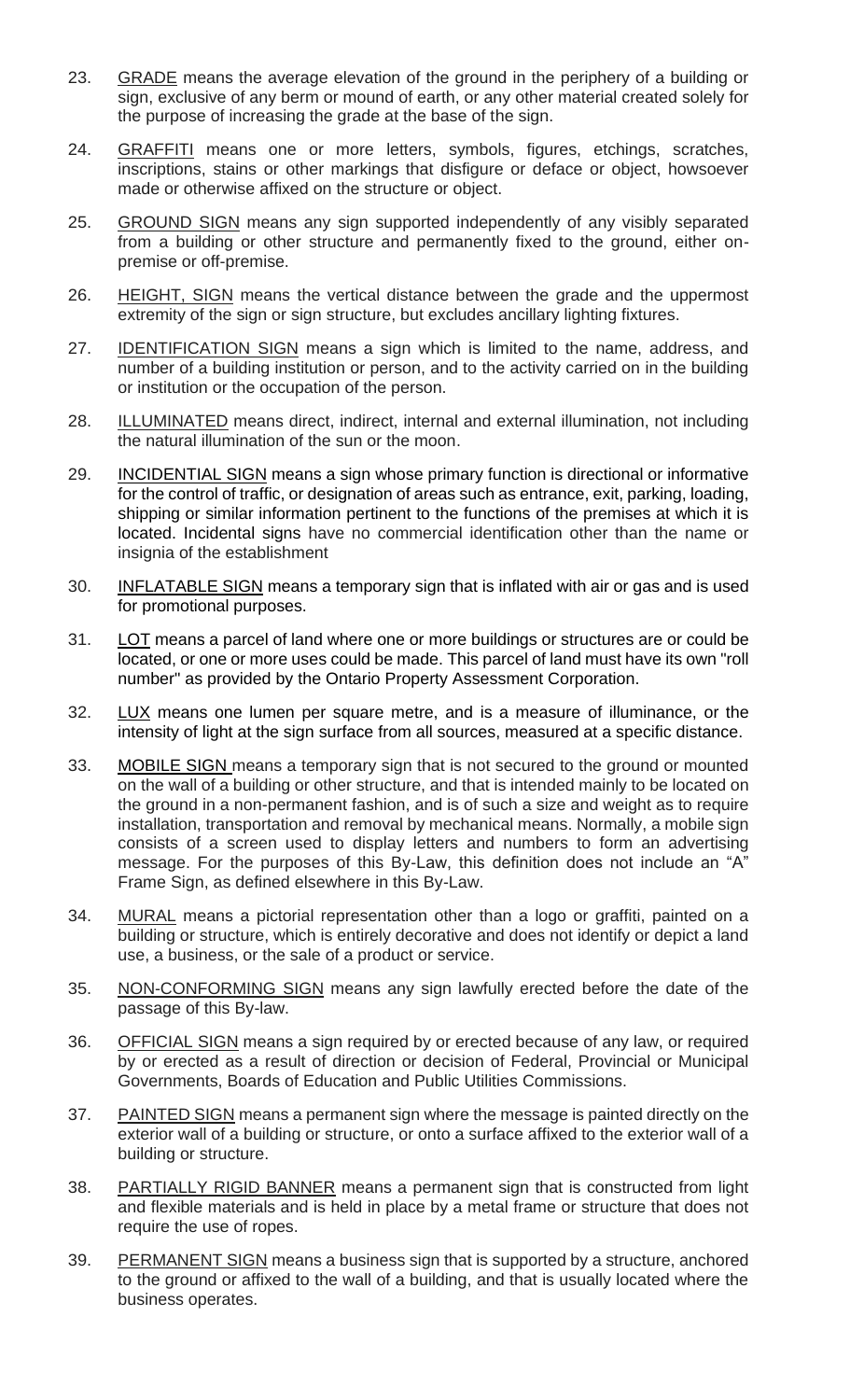- 23. GRADE means the average elevation of the ground in the periphery of a building or sign, exclusive of any berm or mound of earth, or any other material created solely for the purpose of increasing the grade at the base of the sign.
- 24. **GRAFFITI** means one or more letters, symbols, figures, etchings, scratches, inscriptions, stains or other markings that disfigure or deface or object, howsoever made or otherwise affixed on the structure or object.
- 25. GROUND SIGN means any sign supported independently of any visibly separated from a building or other structure and permanently fixed to the ground, either onpremise or off-premise.
- 26. HEIGHT, SIGN means the vertical distance between the grade and the uppermost extremity of the sign or sign structure, but excludes ancillary lighting fixtures.
- 27. IDENTIFICATION SIGN means a sign which is limited to the name, address, and number of a building institution or person, and to the activity carried on in the building or institution or the occupation of the person.
- 28. ILLUMINATED means direct, indirect, internal and external illumination, not including the natural illumination of the sun or the moon.
- 29. INCIDENTIAL SIGN means a sign whose primary function is directional or informative for the control of traffic, or designation of areas such as entrance, exit, parking, loading, shipping or similar information pertinent to the functions of the premises at which it is located. Incidental signs have no commercial identification other than the name or insignia of the establishment
- 30. INFLATABLE SIGN means a temporary sign that is inflated with air or gas and is used for promotional purposes.
- 31. LOT means a parcel of land where one or more buildings or structures are or could be located, or one or more uses could be made. This parcel of land must have its own "roll number" as provided by the Ontario Property Assessment Corporation.
- 32. LUX means one lumen per square metre, and is a measure of illuminance, or the intensity of light at the sign surface from all sources, measured at a specific distance.
- 33. MOBILE SIGN means a temporary sign that is not secured to the ground or mounted on the wall of a building or other structure, and that is intended mainly to be located on the ground in a non-permanent fashion, and is of such a size and weight as to require installation, transportation and removal by mechanical means. Normally, a mobile sign consists of a screen used to display letters and numbers to form an advertising message. For the purposes of this By-Law, this definition does not include an "A" Frame Sign, as defined elsewhere in this By-Law.
- 34. MURAL means a pictorial representation other than a logo or graffiti, painted on a building or structure, which is entirely decorative and does not identify or depict a land use, a business, or the sale of a product or service.
- 35. NON-CONFORMING SIGN means any sign lawfully erected before the date of the passage of this By-law.
- 36. OFFICIAL SIGN means a sign required by or erected because of any law, or required by or erected as a result of direction or decision of Federal, Provincial or Municipal Governments, Boards of Education and Public Utilities Commissions.
- 37. PAINTED SIGN means a permanent sign where the message is painted directly on the exterior wall of a building or structure, or onto a surface affixed to the exterior wall of a building or structure.
- 38. PARTIALLY RIGID BANNER means a permanent sign that is constructed from light and flexible materials and is held in place by a metal frame or structure that does not require the use of ropes.
- 39. PERMANENT SIGN means a business sign that is supported by a structure, anchored to the ground or affixed to the wall of a building, and that is usually located where the business operates.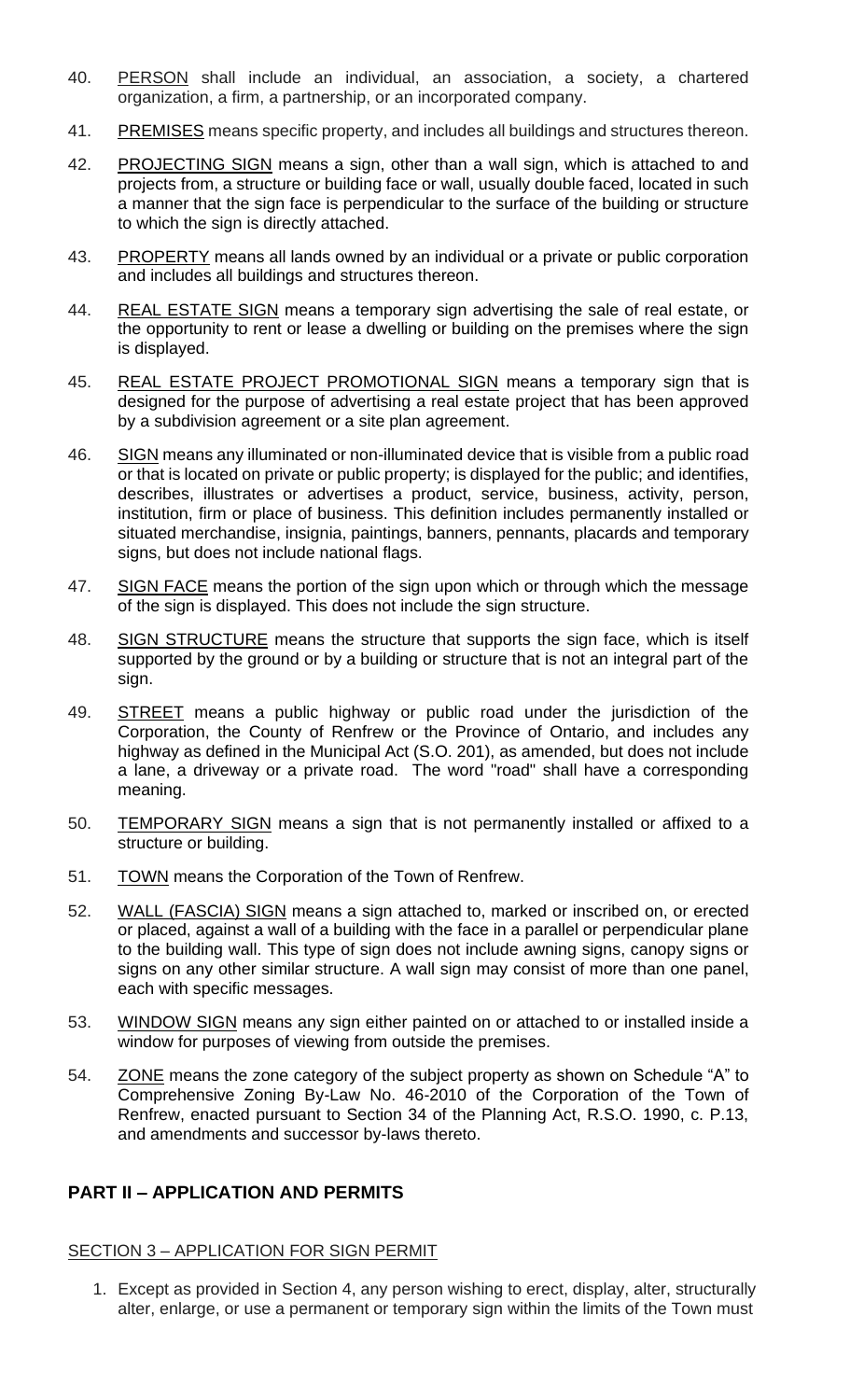- 40. PERSON shall include an individual, an association, a society, a chartered organization, a firm, a partnership, or an incorporated company.
- 41. PREMISES means specific property, and includes all buildings and structures thereon.
- 42. PROJECTING SIGN means a sign, other than a wall sign, which is attached to and projects from, a structure or building face or wall, usually double faced, located in such a manner that the sign face is perpendicular to the surface of the building or structure to which the sign is directly attached.
- 43. PROPERTY means all lands owned by an individual or a private or public corporation and includes all buildings and structures thereon.
- 44. REAL ESTATE SIGN means a temporary sign advertising the sale of real estate, or the opportunity to rent or lease a dwelling or building on the premises where the sign is displayed.
- 45. REAL ESTATE PROJECT PROMOTIONAL SIGN means a temporary sign that is designed for the purpose of advertising a real estate project that has been approved by a subdivision agreement or a site plan agreement.
- 46. SIGN means any illuminated or non-illuminated device that is visible from a public road or that is located on private or public property; is displayed for the public; and identifies, describes, illustrates or advertises a product, service, business, activity, person, institution, firm or place of business. This definition includes permanently installed or situated merchandise, insignia, paintings, banners, pennants, placards and temporary signs, but does not include national flags.
- 47. SIGN FACE means the portion of the sign upon which or through which the message of the sign is displayed. This does not include the sign structure.
- 48. SIGN STRUCTURE means the structure that supports the sign face, which is itself supported by the ground or by a building or structure that is not an integral part of the sign.
- 49. STREET means a public highway or public road under the jurisdiction of the Corporation, the County of Renfrew or the Province of Ontario, and includes any highway as defined in the Municipal Act (S.O. 201), as amended, but does not include a lane, a driveway or a private road. The word "road" shall have a corresponding meaning.
- 50. TEMPORARY SIGN means a sign that is not permanently installed or affixed to a structure or building.
- 51. TOWN means the Corporation of the Town of Renfrew.
- 52. WALL (FASCIA) SIGN means a sign attached to, marked or inscribed on, or erected or placed, against a wall of a building with the face in a parallel or perpendicular plane to the building wall. This type of sign does not include awning signs, canopy signs or signs on any other similar structure. A wall sign may consist of more than one panel, each with specific messages.
- 53. WINDOW SIGN means any sign either painted on or attached to or installed inside a window for purposes of viewing from outside the premises.
- 54. ZONE means the zone category of the subject property as shown on Schedule "A" to Comprehensive Zoning By-Law No. 46-2010 of the Corporation of the Town of Renfrew, enacted pursuant to Section 34 of the Planning Act, R.S.O. 1990, c. P.13, and amendments and successor by-laws thereto.

# **PART II – APPLICATION AND PERMITS**

## SECTION 3 – APPLICATION FOR SIGN PERMIT

1. Except as provided in Section 4, any person wishing to erect, display, alter, structurally alter, enlarge, or use a permanent or temporary sign within the limits of the Town must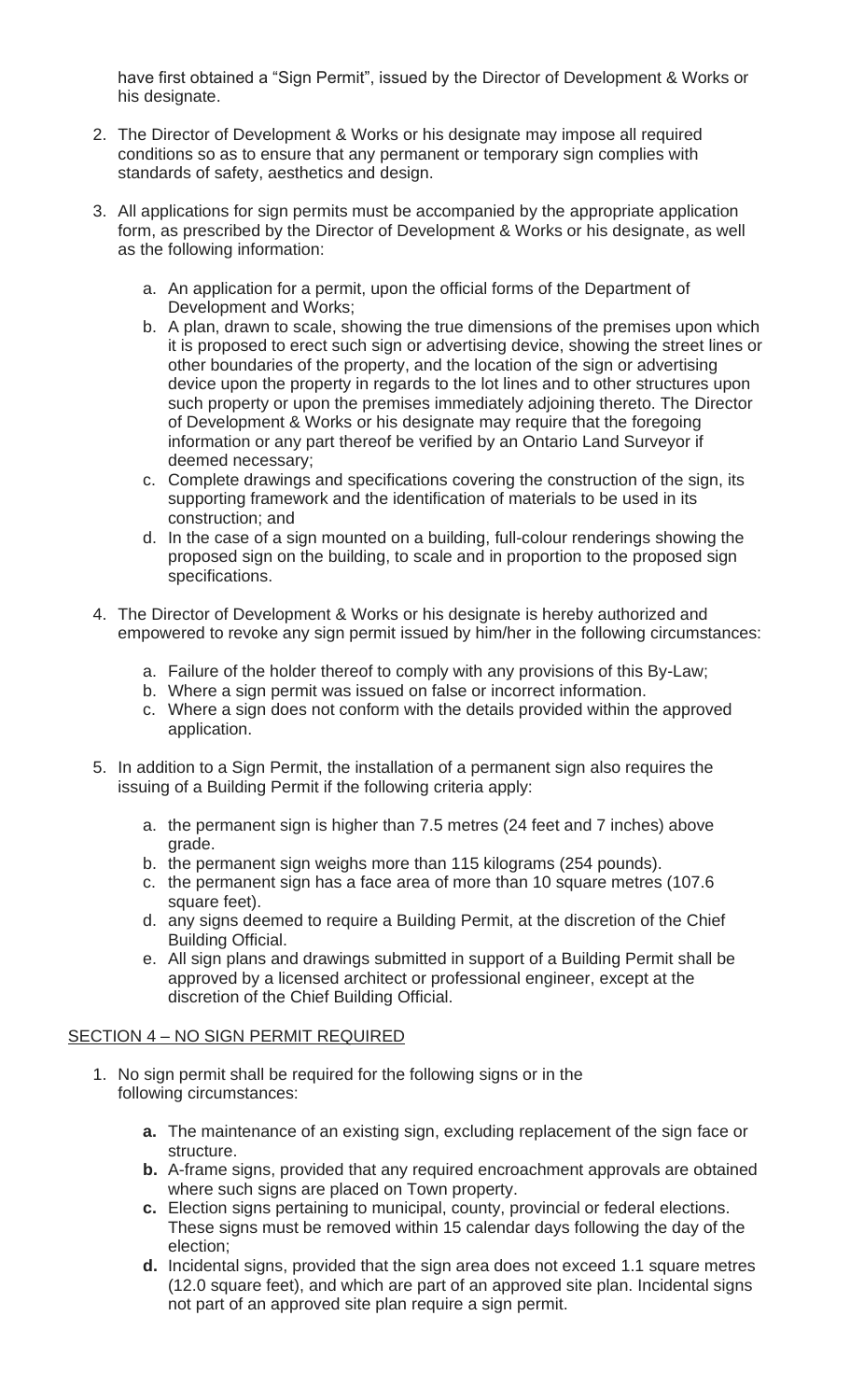have first obtained a "Sign Permit", issued by the Director of Development & Works or his designate.

- 2. The Director of Development & Works or his designate may impose all required conditions so as to ensure that any permanent or temporary sign complies with standards of safety, aesthetics and design.
- 3. All applications for sign permits must be accompanied by the appropriate application form, as prescribed by the Director of Development & Works or his designate, as well as the following information:
	- a. An application for a permit, upon the official forms of the Department of Development and Works;
	- b. A plan, drawn to scale, showing the true dimensions of the premises upon which it is proposed to erect such sign or advertising device, showing the street lines or other boundaries of the property, and the location of the sign or advertising device upon the property in regards to the lot lines and to other structures upon such property or upon the premises immediately adjoining thereto. The Director of Development & Works or his designate may require that the foregoing information or any part thereof be verified by an Ontario Land Surveyor if deemed necessary;
	- c. Complete drawings and specifications covering the construction of the sign, its supporting framework and the identification of materials to be used in its construction; and
	- d. In the case of a sign mounted on a building, full-colour renderings showing the proposed sign on the building, to scale and in proportion to the proposed sign specifications.
- 4. The Director of Development & Works or his designate is hereby authorized and empowered to revoke any sign permit issued by him/her in the following circumstances:
	- a. Failure of the holder thereof to comply with any provisions of this By-Law;
	- b. Where a sign permit was issued on false or incorrect information.
	- c. Where a sign does not conform with the details provided within the approved application.
- 5. In addition to a Sign Permit, the installation of a permanent sign also requires the issuing of a Building Permit if the following criteria apply:
	- a. the permanent sign is higher than 7.5 metres (24 feet and 7 inches) above grade.
	- b. the permanent sign weighs more than 115 kilograms (254 pounds).
	- c. the permanent sign has a face area of more than 10 square metres (107.6 square feet).
	- d. any signs deemed to require a Building Permit, at the discretion of the Chief Building Official.
	- e. All sign plans and drawings submitted in support of a Building Permit shall be approved by a licensed architect or professional engineer, except at the discretion of the Chief Building Official.

## SECTION 4 – NO SIGN PERMIT REQUIRED

- 1. No sign permit shall be required for the following signs or in the following circumstances:
	- **a.** The maintenance of an existing sign, excluding replacement of the sign face or structure.
	- **b.** A-frame signs, provided that any required encroachment approvals are obtained where such signs are placed on Town property.
	- **c.** Election signs pertaining to municipal, county, provincial or federal elections. These signs must be removed within 15 calendar days following the day of the election;
	- **d.** Incidental signs, provided that the sign area does not exceed 1.1 square metres (12.0 square feet), and which are part of an approved site plan. Incidental signs not part of an approved site plan require a sign permit.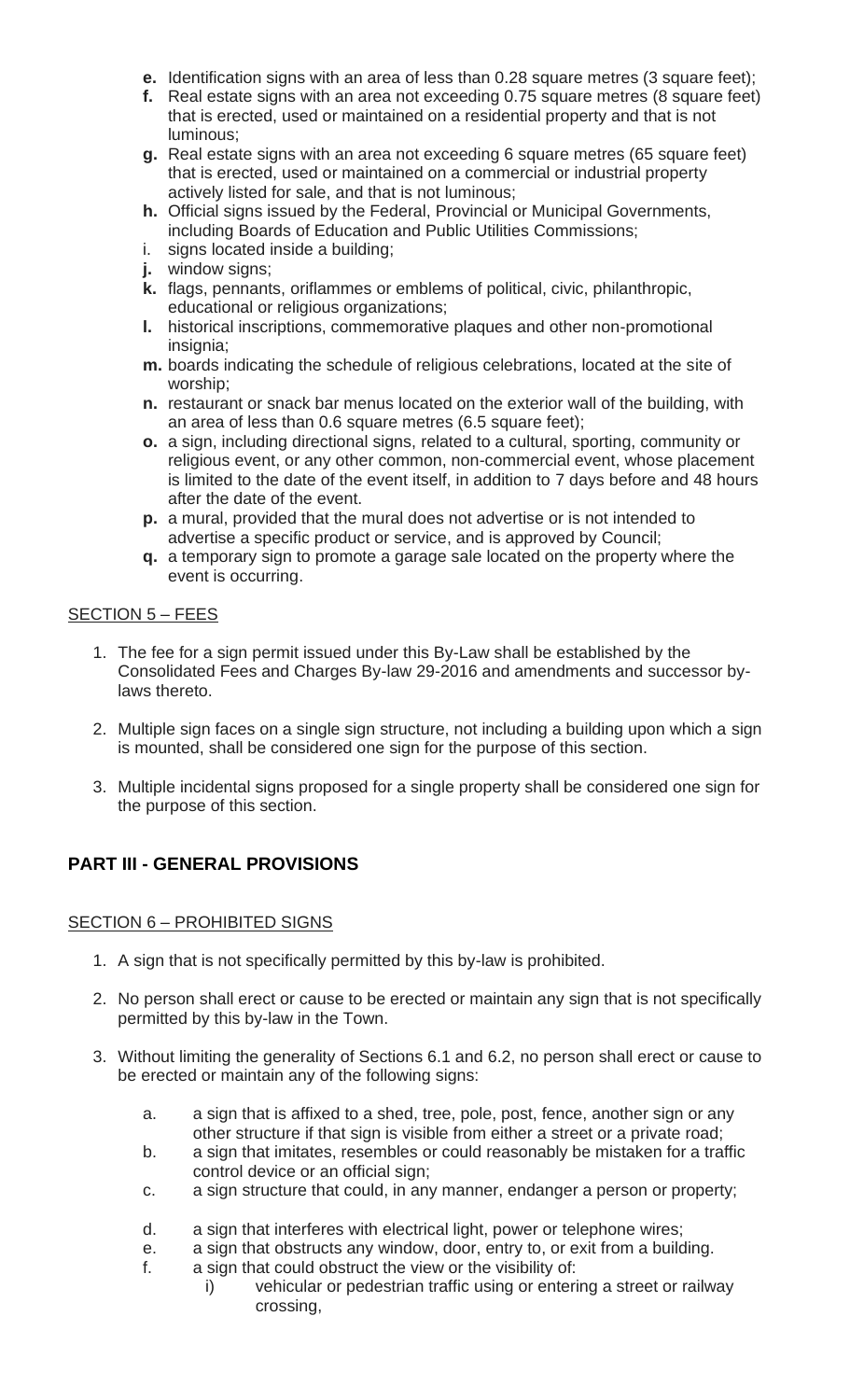- **e.** Identification signs with an area of less than 0.28 square metres (3 square feet);
- **f.** Real estate signs with an area not exceeding 0.75 square metres (8 square feet) that is erected, used or maintained on a residential property and that is not luminous;
- **g.** Real estate signs with an area not exceeding 6 square metres (65 square feet) that is erected, used or maintained on a commercial or industrial property actively listed for sale, and that is not luminous;
- **h.** Official signs issued by the Federal, Provincial or Municipal Governments, including Boards of Education and Public Utilities Commissions;
- i. signs located inside a building;
- **j.** window signs;
- **k.** flags, pennants, oriflammes or emblems of political, civic, philanthropic, educational or religious organizations;
- **l.** historical inscriptions, commemorative plaques and other non-promotional insignia;
- **m.** boards indicating the schedule of religious celebrations, located at the site of worship;
- **n.** restaurant or snack bar menus located on the exterior wall of the building, with an area of less than 0.6 square metres (6.5 square feet);
- **o.** a sign, including directional signs, related to a cultural, sporting, community or religious event, or any other common, non-commercial event, whose placement is limited to the date of the event itself, in addition to 7 days before and 48 hours after the date of the event.
- **p.** a mural, provided that the mural does not advertise or is not intended to advertise a specific product or service, and is approved by Council;
- **q.** a temporary sign to promote a garage sale located on the property where the event is occurring.

# SECTION 5 – FEES

- 1. The fee for a sign permit issued under this By-Law shall be established by the Consolidated Fees and Charges By-law 29-2016 and amendments and successor bylaws thereto.
- 2. Multiple sign faces on a single sign structure, not including a building upon which a sign is mounted, shall be considered one sign for the purpose of this section.
- 3. Multiple incidental signs proposed for a single property shall be considered one sign for the purpose of this section.

# **PART III - GENERAL PROVISIONS**

## SECTION 6 – PROHIBITED SIGNS

- 1. A sign that is not specifically permitted by this by-law is prohibited.
- 2. No person shall erect or cause to be erected or maintain any sign that is not specifically permitted by this by-law in the Town.
- 3. Without limiting the generality of Sections 6.1 and 6.2, no person shall erect or cause to be erected or maintain any of the following signs:
	- a. a sign that is affixed to a shed, tree, pole, post, fence, another sign or any other structure if that sign is visible from either a street or a private road;
	- b. a sign that imitates, resembles or could reasonably be mistaken for a traffic control device or an official sign;
	- c. a sign structure that could, in any manner, endanger a person or property;
	- d. a sign that interferes with electrical light, power or telephone wires;
	- e. a sign that obstructs any window, door, entry to, or exit from a building.
	- f. a sign that could obstruct the view or the visibility of:
		- i) vehicular or pedestrian traffic using or entering a street or railway crossing,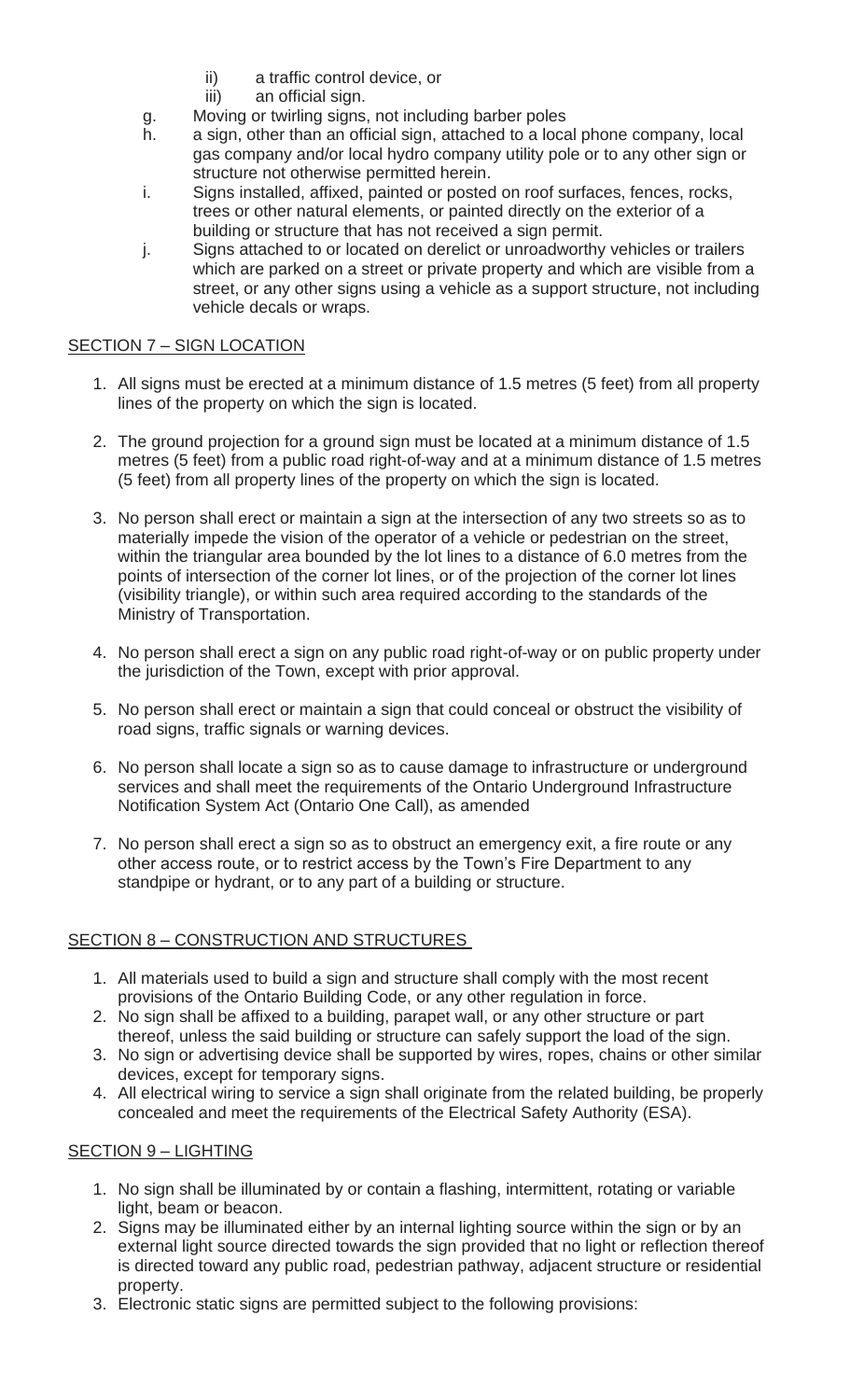- ii) a traffic control device, or
- iii) an official sign.
- g. Moving or twirling signs, not including barber poles
- h. a sign, other than an official sign, attached to a local phone company, local gas company and/or local hydro company utility pole or to any other sign or structure not otherwise permitted herein.
- i. Signs installed, affixed, painted or posted on roof surfaces, fences, rocks, trees or other natural elements, or painted directly on the exterior of a building or structure that has not received a sign permit.
- j. Signs attached to or located on derelict or unroadworthy vehicles or trailers which are parked on a street or private property and which are visible from a street, or any other signs using a vehicle as a support structure, not including vehicle decals or wraps.

# SECTION 7 – SIGN LOCATION

- 1. All signs must be erected at a minimum distance of 1.5 metres (5 feet) from all property lines of the property on which the sign is located.
- 2. The ground projection for a ground sign must be located at a minimum distance of 1.5 metres (5 feet) from a public road right-of-way and at a minimum distance of 1.5 metres (5 feet) from all property lines of the property on which the sign is located.
- 3. No person shall erect or maintain a sign at the intersection of any two streets so as to materially impede the vision of the operator of a vehicle or pedestrian on the street, within the triangular area bounded by the lot lines to a distance of 6.0 metres from the points of intersection of the corner lot lines, or of the projection of the corner lot lines (visibility triangle), or within such area required according to the standards of the Ministry of Transportation.
- 4. No person shall erect a sign on any public road right-of-way or on public property under the jurisdiction of the Town, except with prior approval.
- 5. No person shall erect or maintain a sign that could conceal or obstruct the visibility of road signs, traffic signals or warning devices.
- 6. No person shall locate a sign so as to cause damage to infrastructure or underground services and shall meet the requirements of the Ontario Underground Infrastructure Notification System Act (Ontario One Call), as amended
- 7. No person shall erect a sign so as to obstruct an emergency exit, a fire route or any other access route, or to restrict access by the Town's Fire Department to any standpipe or hydrant, or to any part of a building or structure.

# SECTION 8 – CONSTRUCTION AND STRUCTURES

- 1. All materials used to build a sign and structure shall comply with the most recent provisions of the Ontario Building Code, or any other regulation in force.
- 2. No sign shall be affixed to a building, parapet wall, or any other structure or part thereof, unless the said building or structure can safely support the load of the sign.
- 3. No sign or advertising device shall be supported by wires, ropes, chains or other similar devices, except for temporary signs.
- 4. All electrical wiring to service a sign shall originate from the related building, be properly concealed and meet the requirements of the Electrical Safety Authority (ESA).

## SECTION 9 – LIGHTING

- 1. No sign shall be illuminated by or contain a flashing, intermittent, rotating or variable light, beam or beacon.
- 2. Signs may be illuminated either by an internal lighting source within the sign or by an external light source directed towards the sign provided that no light or reflection thereof is directed toward any public road, pedestrian pathway, adjacent structure or residential property.
- 3. Electronic static signs are permitted subject to the following provisions: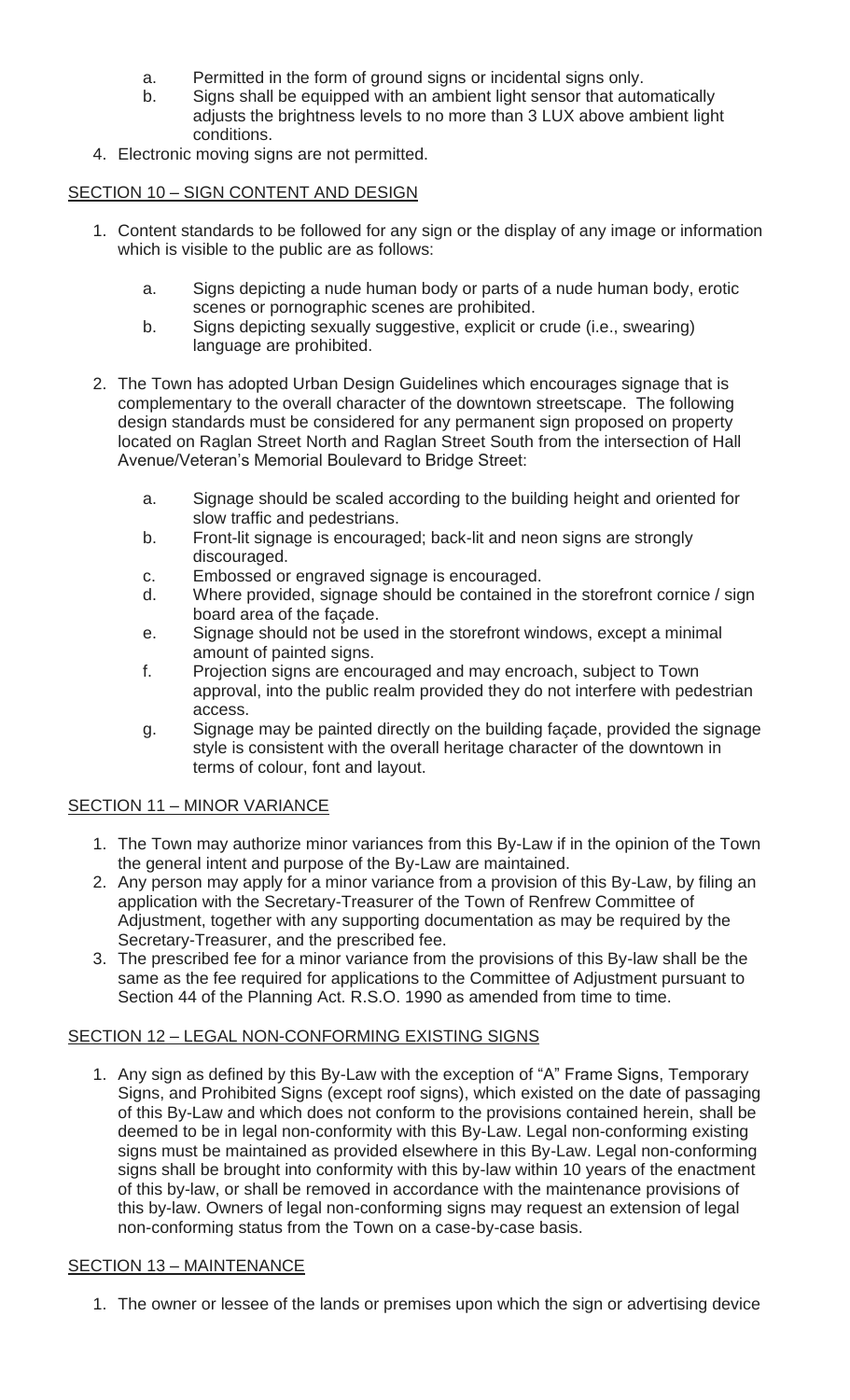- a. Permitted in the form of ground signs or incidental signs only.
- b. Signs shall be equipped with an ambient light sensor that automatically adjusts the brightness levels to no more than 3 LUX above ambient light conditions.
- 4. Electronic moving signs are not permitted.

# SECTION 10 – SIGN CONTENT AND DESIGN

- 1. Content standards to be followed for any sign or the display of any image or information which is visible to the public are as follows:
	- a. Signs depicting a nude human body or parts of a nude human body, erotic scenes or pornographic scenes are prohibited.
	- b. Signs depicting sexually suggestive, explicit or crude (i.e., swearing) language are prohibited.
- 2. The Town has adopted Urban Design Guidelines which encourages signage that is complementary to the overall character of the downtown streetscape. The following design standards must be considered for any permanent sign proposed on property located on Raglan Street North and Raglan Street South from the intersection of Hall Avenue/Veteran's Memorial Boulevard to Bridge Street:
	- a. Signage should be scaled according to the building height and oriented for slow traffic and pedestrians.
	- b. Front-lit signage is encouraged; back-lit and neon signs are strongly discouraged.
	- c. Embossed or engraved signage is encouraged.
	- d. Where provided, signage should be contained in the storefront cornice / sign board area of the façade.
	- e. Signage should not be used in the storefront windows, except a minimal amount of painted signs.
	- f. Projection signs are encouraged and may encroach, subject to Town approval, into the public realm provided they do not interfere with pedestrian access.
	- g. Signage may be painted directly on the building façade, provided the signage style is consistent with the overall heritage character of the downtown in terms of colour, font and layout.

## SECTION 11 – MINOR VARIANCE

- 1. The Town may authorize minor variances from this By-Law if in the opinion of the Town the general intent and purpose of the By-Law are maintained.
- 2. Any person may apply for a minor variance from a provision of this By-Law, by filing an application with the Secretary-Treasurer of the Town of Renfrew Committee of Adjustment, together with any supporting documentation as may be required by the Secretary-Treasurer, and the prescribed fee.
- 3. The prescribed fee for a minor variance from the provisions of this By-law shall be the same as the fee required for applications to the Committee of Adjustment pursuant to Section 44 of the Planning Act. R.S.O. 1990 as amended from time to time.

## SECTION 12 - LEGAL NON-CONFORMING EXISTING SIGNS

1. Any sign as defined by this By-Law with the exception of "A" Frame Signs, Temporary Signs, and Prohibited Signs (except roof signs), which existed on the date of passaging of this By-Law and which does not conform to the provisions contained herein, shall be deemed to be in legal non-conformity with this By-Law. Legal non-conforming existing signs must be maintained as provided elsewhere in this By-Law. Legal non-conforming signs shall be brought into conformity with this by-law within 10 years of the enactment of this by-law, or shall be removed in accordance with the maintenance provisions of this by-law. Owners of legal non-conforming signs may request an extension of legal non-conforming status from the Town on a case-by-case basis.

## SECTION 13 – MAINTENANCE

1. The owner or lessee of the lands or premises upon which the sign or advertising device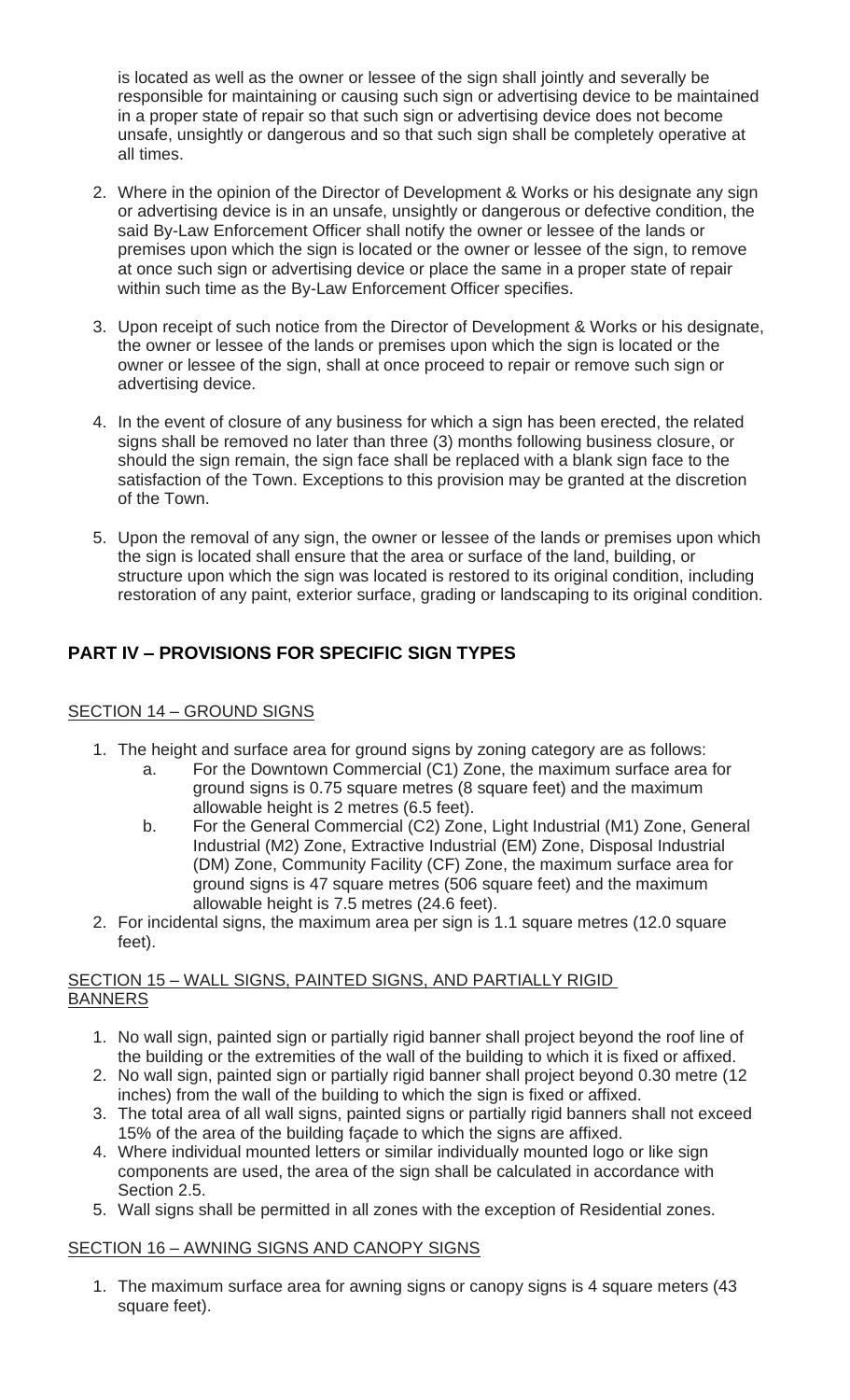is located as well as the owner or lessee of the sign shall jointly and severally be responsible for maintaining or causing such sign or advertising device to be maintained in a proper state of repair so that such sign or advertising device does not become unsafe, unsightly or dangerous and so that such sign shall be completely operative at all times.

- 2. Where in the opinion of the Director of Development & Works or his designate any sign or advertising device is in an unsafe, unsightly or dangerous or defective condition, the said By-Law Enforcement Officer shall notify the owner or lessee of the lands or premises upon which the sign is located or the owner or lessee of the sign, to remove at once such sign or advertising device or place the same in a proper state of repair within such time as the By-Law Enforcement Officer specifies.
- 3. Upon receipt of such notice from the Director of Development & Works or his designate, the owner or lessee of the lands or premises upon which the sign is located or the owner or lessee of the sign, shall at once proceed to repair or remove such sign or advertising device.
- 4. In the event of closure of any business for which a sign has been erected, the related signs shall be removed no later than three (3) months following business closure, or should the sign remain, the sign face shall be replaced with a blank sign face to the satisfaction of the Town. Exceptions to this provision may be granted at the discretion of the Town.
- 5. Upon the removal of any sign, the owner or lessee of the lands or premises upon which the sign is located shall ensure that the area or surface of the land, building, or structure upon which the sign was located is restored to its original condition, including restoration of any paint, exterior surface, grading or landscaping to its original condition.

# **PART IV – PROVISIONS FOR SPECIFIC SIGN TYPES**

# SECTION 14 – GROUND SIGNS

- 1. The height and surface area for ground signs by zoning category are as follows:
	- a. For the Downtown Commercial (C1) Zone, the maximum surface area for ground signs is 0.75 square metres (8 square feet) and the maximum allowable height is 2 metres (6.5 feet).
	- b. For the General Commercial (C2) Zone, Light Industrial (M1) Zone, General Industrial (M2) Zone, Extractive Industrial (EM) Zone, Disposal Industrial (DM) Zone, Community Facility (CF) Zone, the maximum surface area for ground signs is 47 square metres (506 square feet) and the maximum allowable height is 7.5 metres (24.6 feet).
- 2. For incidental signs, the maximum area per sign is 1.1 square metres (12.0 square feet).

# SECTION 15 – WALL SIGNS, PAINTED SIGNS, AND PARTIALLY RIGID **BANNERS**

- 1. No wall sign, painted sign or partially rigid banner shall project beyond the roof line of the building or the extremities of the wall of the building to which it is fixed or affixed.
- 2. No wall sign, painted sign or partially rigid banner shall project beyond 0.30 metre (12 inches) from the wall of the building to which the sign is fixed or affixed.
- 3. The total area of all wall signs, painted signs or partially rigid banners shall not exceed 15% of the area of the building façade to which the signs are affixed.
- 4. Where individual mounted letters or similar individually mounted logo or like sign components are used, the area of the sign shall be calculated in accordance with Section 2.5.
- 5. Wall signs shall be permitted in all zones with the exception of Residential zones.

# SECTION 16 – AWNING SIGNS AND CANOPY SIGNS

1. The maximum surface area for awning signs or canopy signs is 4 square meters (43 square feet).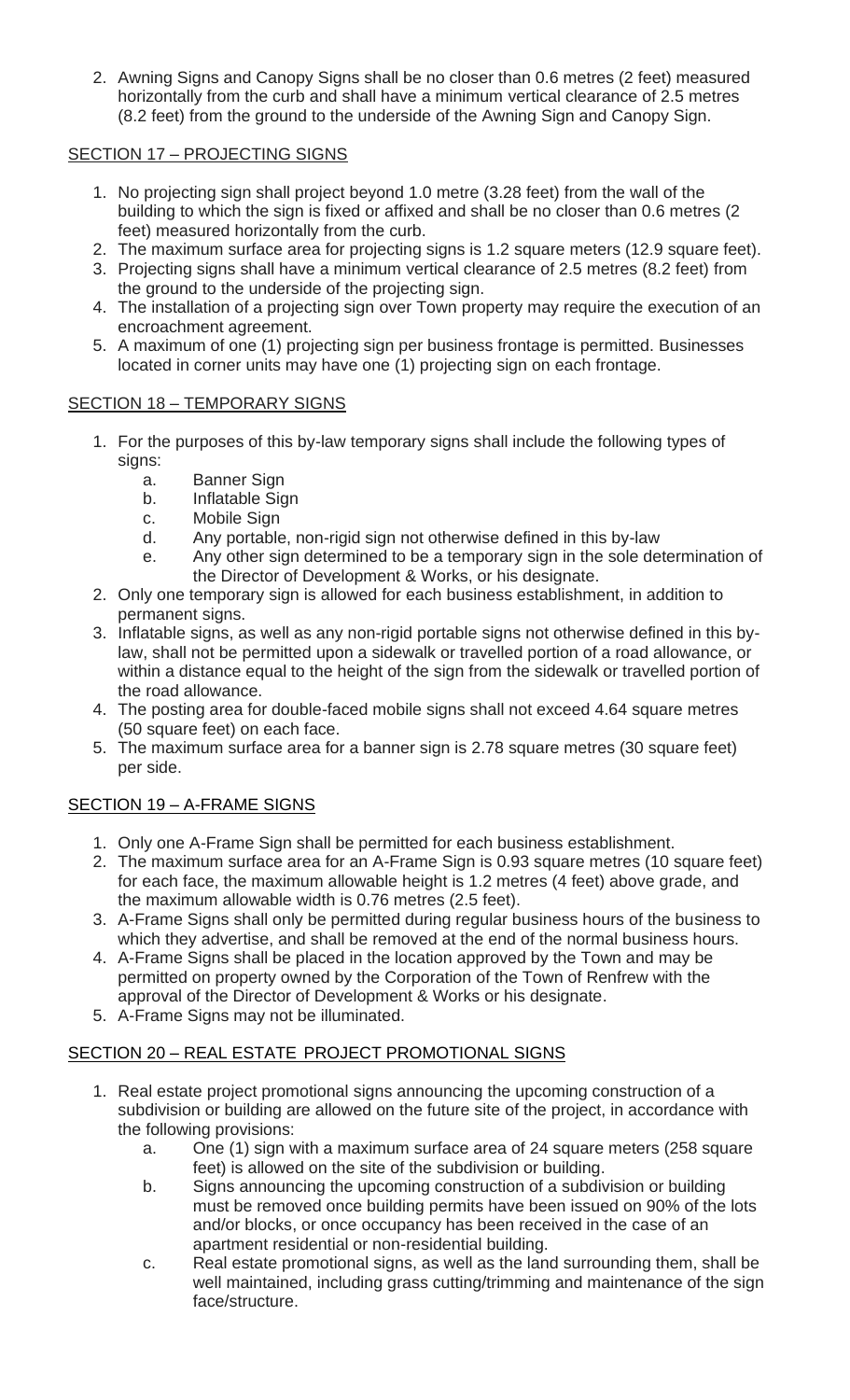2. Awning Signs and Canopy Signs shall be no closer than 0.6 metres (2 feet) measured horizontally from the curb and shall have a minimum vertical clearance of 2.5 metres (8.2 feet) from the ground to the underside of the Awning Sign and Canopy Sign.

# SECTION 17 – PROJECTING SIGNS

- 1. No projecting sign shall project beyond 1.0 metre (3.28 feet) from the wall of the building to which the sign is fixed or affixed and shall be no closer than 0.6 metres (2 feet) measured horizontally from the curb.
- 2. The maximum surface area for projecting signs is 1.2 square meters (12.9 square feet).
- 3. Projecting signs shall have a minimum vertical clearance of 2.5 metres (8.2 feet) from the ground to the underside of the projecting sign.
- 4. The installation of a projecting sign over Town property may require the execution of an encroachment agreement.
- 5. A maximum of one (1) projecting sign per business frontage is permitted. Businesses located in corner units may have one (1) projecting sign on each frontage.

# SECTION 18 – TEMPORARY SIGNS

- 1. For the purposes of this by-law temporary signs shall include the following types of signs:
	- a. Banner Sign
	- b. Inflatable Sign
	- c. Mobile Sign
	- d. Any portable, non-rigid sign not otherwise defined in this by-law
	- e. Any other sign determined to be a temporary sign in the sole determination of the Director of Development & Works, or his designate.
- 2. Only one temporary sign is allowed for each business establishment, in addition to permanent signs.
- 3. Inflatable signs, as well as any non-rigid portable signs not otherwise defined in this bylaw, shall not be permitted upon a sidewalk or travelled portion of a road allowance, or within a distance equal to the height of the sign from the sidewalk or travelled portion of the road allowance.
- 4. The posting area for double-faced mobile signs shall not exceed 4.64 square metres (50 square feet) on each face.
- 5. The maximum surface area for a banner sign is 2.78 square metres (30 square feet) per side.

# SECTION 19 – A-FRAME SIGNS

- 1. Only one A-Frame Sign shall be permitted for each business establishment.
- 2. The maximum surface area for an A-Frame Sign is 0.93 square metres (10 square feet) for each face, the maximum allowable height is 1.2 metres (4 feet) above grade, and the maximum allowable width is 0.76 metres (2.5 feet).
- 3. A-Frame Signs shall only be permitted during regular business hours of the business to which they advertise, and shall be removed at the end of the normal business hours.
- 4. A-Frame Signs shall be placed in the location approved by the Town and may be permitted on property owned by the Corporation of the Town of Renfrew with the approval of the Director of Development & Works or his designate.
- 5. A-Frame Signs may not be illuminated.

## SECTION 20 – REAL ESTATE PROJECT PROMOTIONAL SIGNS

- 1. Real estate project promotional signs announcing the upcoming construction of a subdivision or building are allowed on the future site of the project, in accordance with the following provisions:
	- a. One (1) sign with a maximum surface area of 24 square meters (258 square feet) is allowed on the site of the subdivision or building.
	- b. Signs announcing the upcoming construction of a subdivision or building must be removed once building permits have been issued on 90% of the lots and/or blocks, or once occupancy has been received in the case of an apartment residential or non-residential building.
	- c. Real estate promotional signs, as well as the land surrounding them, shall be well maintained, including grass cutting/trimming and maintenance of the sign face/structure.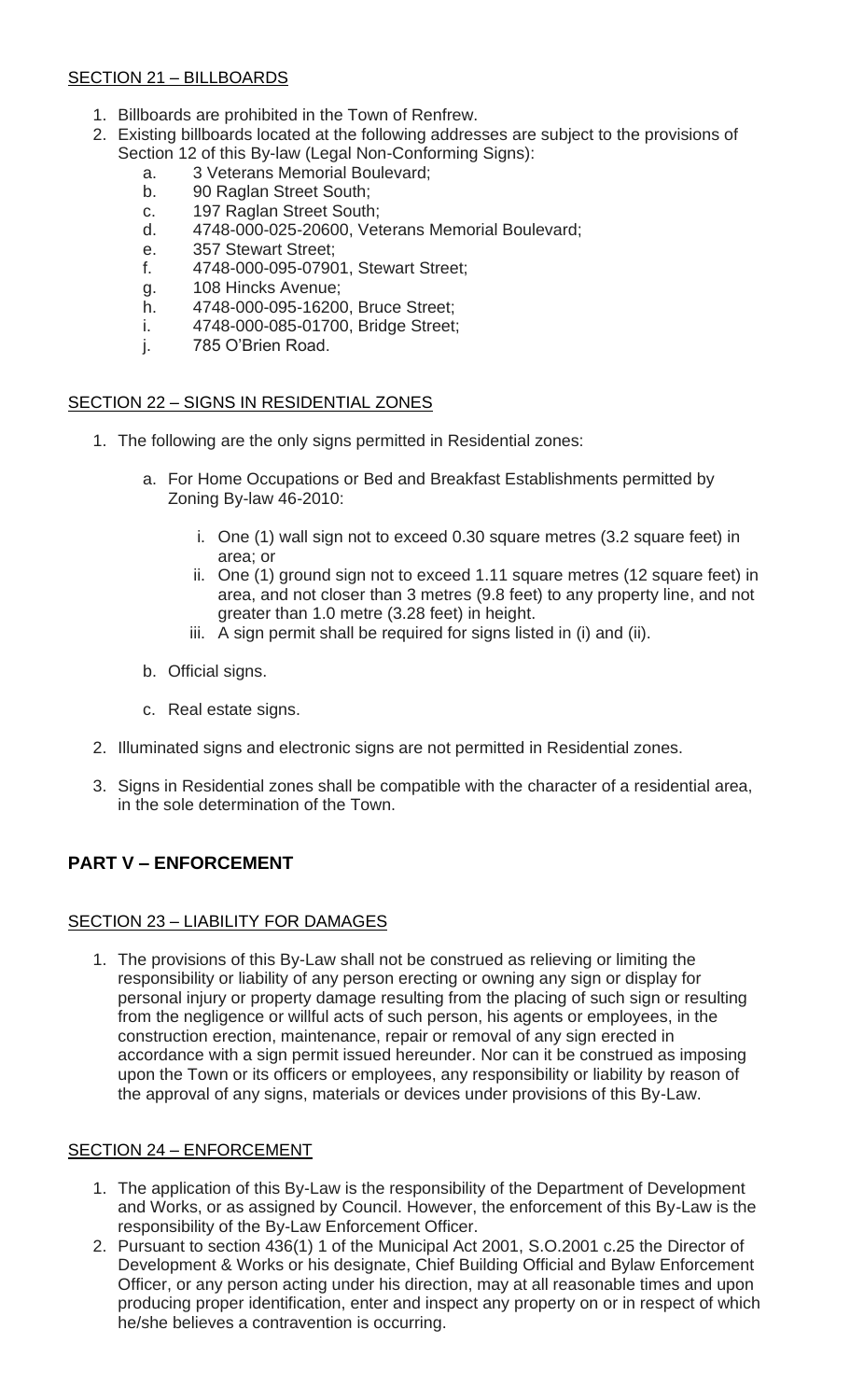# SECTION 21 – BILLBOARDS

- 1. Billboards are prohibited in the Town of Renfrew.
- 2. Existing billboards located at the following addresses are subject to the provisions of Section 12 of this By-law (Legal Non-Conforming Signs):
	- a. 3 Veterans Memorial Boulevard;
	- b. 90 Raglan Street South;
	- c. 197 Raglan Street South;
	- d. 4748-000-025-20600, Veterans Memorial Boulevard;
	- e. 357 Stewart Street;
	- f. 4748-000-095-07901, Stewart Street;
	- g. 108 Hincks Avenue;
	- h. 4748-000-095-16200, Bruce Street;
	- i. 4748-000-085-01700, Bridge Street;
	- j. 785 O'Brien Road.

# SECTION 22 – SIGNS IN RESIDENTIAL ZONES

- 1. The following are the only signs permitted in Residential zones:
	- a. For Home Occupations or Bed and Breakfast Establishments permitted by Zoning By-law 46-2010:
		- i. One (1) wall sign not to exceed 0.30 square metres (3.2 square feet) in area; or
		- ii. One (1) ground sign not to exceed 1.11 square metres (12 square feet) in area, and not closer than 3 metres (9.8 feet) to any property line, and not greater than 1.0 metre (3.28 feet) in height.
		- iii. A sign permit shall be required for signs listed in (i) and (ii).
	- b. Official signs.
	- c. Real estate signs.
- 2. Illuminated signs and electronic signs are not permitted in Residential zones.
- 3. Signs in Residential zones shall be compatible with the character of a residential area, in the sole determination of the Town.

# **PART V – ENFORCEMENT**

## SECTION 23 – LIABILITY FOR DAMAGES

1. The provisions of this By-Law shall not be construed as relieving or limiting the responsibility or liability of any person erecting or owning any sign or display for personal injury or property damage resulting from the placing of such sign or resulting from the negligence or willful acts of such person, his agents or employees, in the construction erection, maintenance, repair or removal of any sign erected in accordance with a sign permit issued hereunder. Nor can it be construed as imposing upon the Town or its officers or employees, any responsibility or liability by reason of the approval of any signs, materials or devices under provisions of this By-Law.

## SECTION 24 – ENFORCEMENT

- 1. The application of this By-Law is the responsibility of the Department of Development and Works, or as assigned by Council. However, the enforcement of this By-Law is the responsibility of the By-Law Enforcement Officer.
- 2. Pursuant to section 436(1) 1 of the Municipal Act 2001, S.O.2001 c.25 the Director of Development & Works or his designate, Chief Building Official and Bylaw Enforcement Officer, or any person acting under his direction, may at all reasonable times and upon producing proper identification, enter and inspect any property on or in respect of which he/she believes a contravention is occurring.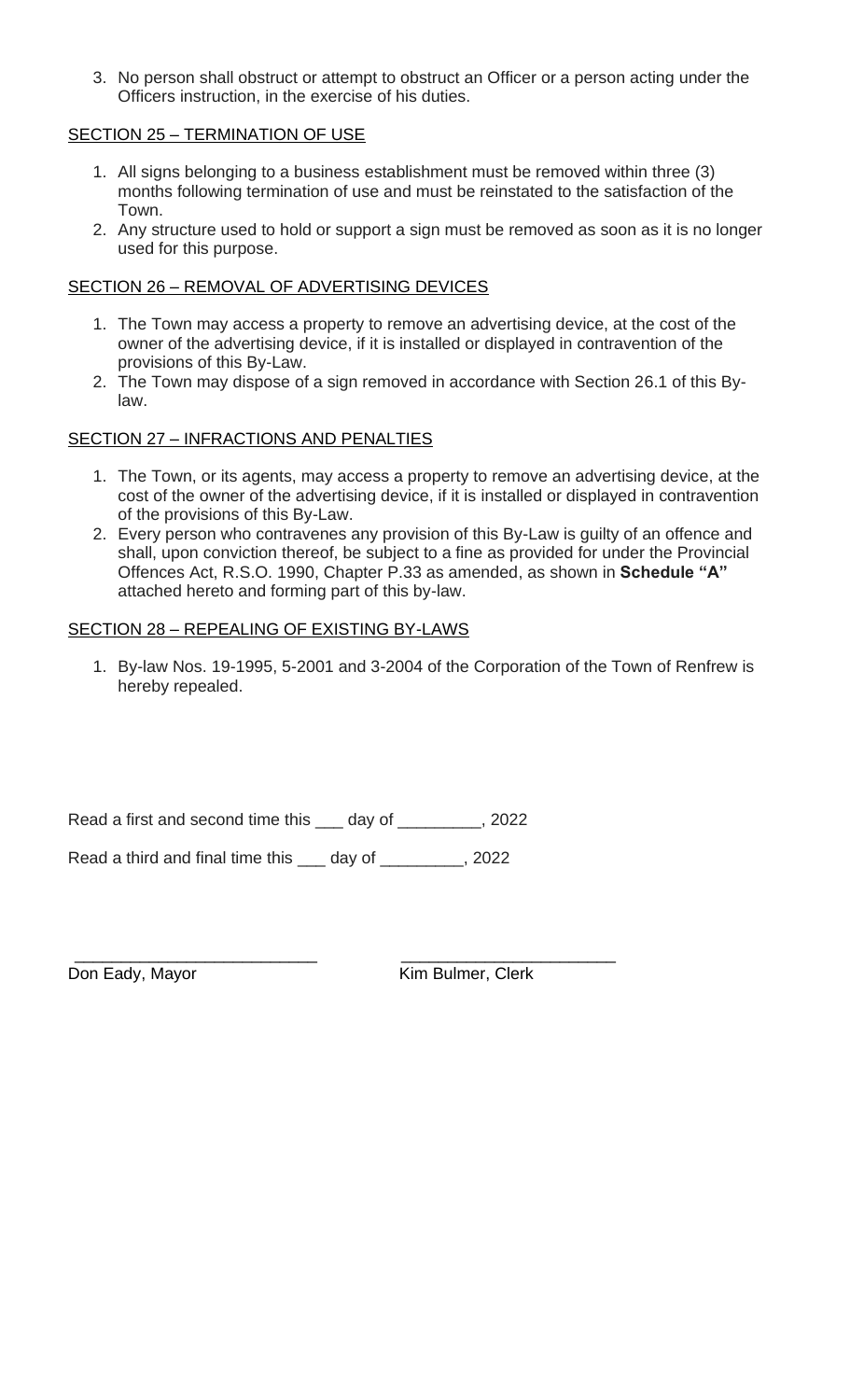3. No person shall obstruct or attempt to obstruct an Officer or a person acting under the Officers instruction, in the exercise of his duties.

## SECTION 25 – TERMINATION OF USE

- 1. All signs belonging to a business establishment must be removed within three (3) months following termination of use and must be reinstated to the satisfaction of the Town.
- 2. Any structure used to hold or support a sign must be removed as soon as it is no longer used for this purpose.

#### SECTION 26 – REMOVAL OF ADVERTISING DEVICES

- 1. The Town may access a property to remove an advertising device, at the cost of the owner of the advertising device, if it is installed or displayed in contravention of the provisions of this By-Law.
- 2. The Town may dispose of a sign removed in accordance with Section 26.1 of this Bylaw.

## SECTION 27 – INFRACTIONS AND PENALTIES

- 1. The Town, or its agents, may access a property to remove an advertising device, at the cost of the owner of the advertising device, if it is installed or displayed in contravention of the provisions of this By-Law.
- 2. Every person who contravenes any provision of this By-Law is guilty of an offence and shall, upon conviction thereof, be subject to a fine as provided for under the Provincial Offences Act, R.S.O. 1990, Chapter P.33 as amended, as shown in **Schedule "A"** attached hereto and forming part of this by-law.

#### SECTION 28 – REPEALING OF EXISTING BY-LAWS

1. By-law Nos. 19-1995, 5-2001 and 3-2004 of the Corporation of the Town of Renfrew is hereby repealed.

Read a first and second time this \_\_\_ day of \_\_\_\_\_\_\_\_\_, 2022

Read a third and final time this \_\_\_ day of \_\_\_\_\_\_\_\_\_, 2022

\_\_\_\_\_\_\_\_\_\_\_\_\_\_\_\_\_\_\_\_\_\_\_\_\_\_ \_\_\_\_\_\_\_\_\_\_\_\_\_\_\_\_\_\_\_\_\_\_\_ Don Eady, Mayor **Kim Bulmer**, Clerk